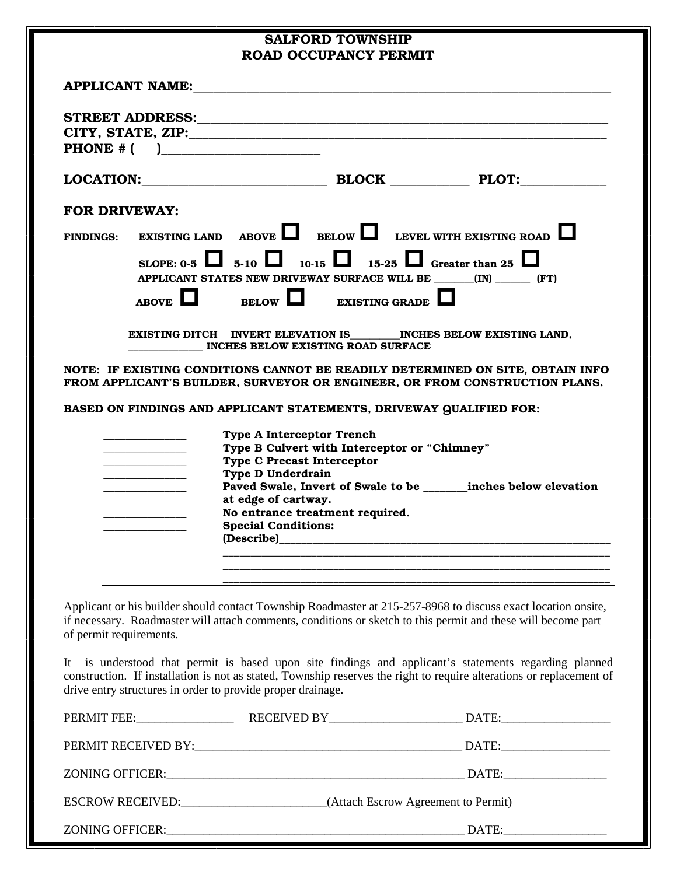|                                                                                                                       | <b>SALFORD TOWNSHIP</b><br><b>ROAD OCCUPANCY PERMIT</b>                                                                                                                                                                                                                                                 |
|-----------------------------------------------------------------------------------------------------------------------|---------------------------------------------------------------------------------------------------------------------------------------------------------------------------------------------------------------------------------------------------------------------------------------------------------|
|                                                                                                                       | APPLICANT NAME:                                                                                                                                                                                                                                                                                         |
|                                                                                                                       | PHONE $#$ ( )                                                                                                                                                                                                                                                                                           |
|                                                                                                                       |                                                                                                                                                                                                                                                                                                         |
| <b>FOR DRIVEWAY:</b>                                                                                                  |                                                                                                                                                                                                                                                                                                         |
|                                                                                                                       | FINDINGS: EXISTING LAND ABOVE BELOW LEVEL WITH EXISTING ROAD                                                                                                                                                                                                                                            |
|                                                                                                                       | SLOPE: 0-5 $\Box$ 5-10 $\Box$ 10-15 $\Box$ 15-25 $\Box$ Greater than 25 $\Box$<br>APPLICANT STATES NEW DRIVEWAY SURFACE WILL BE ________(IN) ________ (FT)                                                                                                                                              |
|                                                                                                                       | ABOVE $\Box$ BELOW $\Box$ EXISTING GRADE $\Box$                                                                                                                                                                                                                                                         |
|                                                                                                                       | EXISTING DITCH INVERT ELEVATION IS INCHES BELOW EXISTING LAND,<br>INCHES BELOW EXISTING ROAD SURFACE                                                                                                                                                                                                    |
|                                                                                                                       | NOTE: IF EXISTING CONDITIONS CANNOT BE READILY DETERMINED ON SITE, OBTAIN INFO<br>FROM APPLICANT'S BUILDER, SURVEYOR OR ENGINEER, OR FROM CONSTRUCTION PLANS.                                                                                                                                           |
|                                                                                                                       |                                                                                                                                                                                                                                                                                                         |
|                                                                                                                       | BASED ON FINDINGS AND APPLICANT STATEMENTS, DRIVEWAY QUALIFIED FOR:                                                                                                                                                                                                                                     |
| <u> 1989 - Johann John Harry Barnett, amerikan bisa pada 1980 - John Harry Barnett, amerikan bisa pada 1980 - Joh</u> | <b>Type A Interceptor Trench</b><br>Type B Culvert with Interceptor or "Chimney"<br><b>Type C Precast Interceptor</b><br>Type D Underdrain<br>Paved Swale, Invert of Swale to be _______ inches below elevation<br>at edge of cartway.<br>No entrance treatment required.<br><b>Special Conditions:</b> |
|                                                                                                                       |                                                                                                                                                                                                                                                                                                         |
| of permit requirements.                                                                                               | Applicant or his builder should contact Township Roadmaster at 215-257-8968 to discuss exact location onsite,<br>if necessary. Roadmaster will attach comments, conditions or sketch to this permit and these will become part                                                                          |
|                                                                                                                       | is understood that permit is based upon site findings and applicant's statements regarding planned<br>drive entry structures in order to provide proper drainage.                                                                                                                                       |
|                                                                                                                       |                                                                                                                                                                                                                                                                                                         |
|                                                                                                                       |                                                                                                                                                                                                                                                                                                         |
| It                                                                                                                    | construction. If installation is not as stated, Township reserves the right to require alterations or replacement of                                                                                                                                                                                    |

ZONING OFFICER:\_\_\_\_\_\_\_\_\_\_\_\_\_\_\_\_\_\_\_\_\_\_\_\_\_\_\_\_\_\_\_\_\_\_\_\_\_\_\_\_\_\_\_\_\_\_\_\_\_ DATE:\_\_\_\_\_\_\_\_\_\_\_\_\_\_\_\_\_